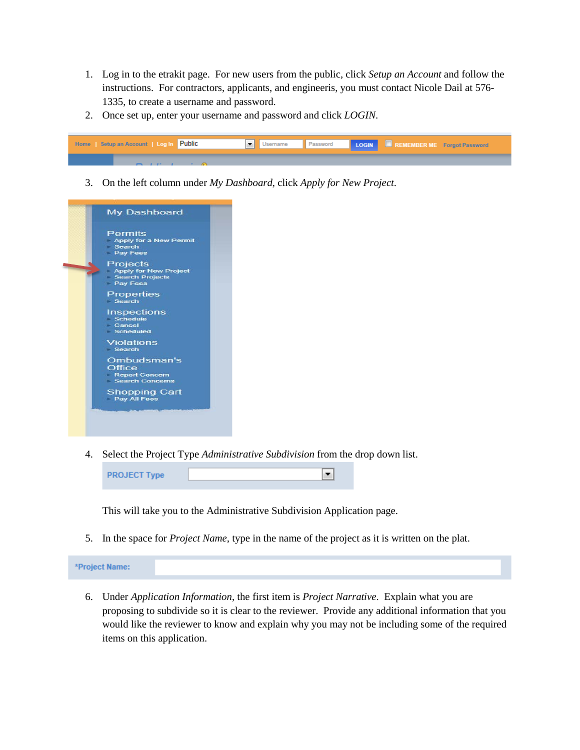- 1. Log in to the etrakit page. For new users from the public, click *Setup an Account* and follow the instructions. For contractors, applicants, and engineeris, you must contact Nicole Dail at 576- 1335, to create a username and password.
- 2. Once set up, enter your username and password and click *LOGIN*.



3. On the left column under *My Dashboard*, click *Apply for New Project*.



4. Select the Project Type *Administrative Subdivision* from the drop down list.



This will take you to the Administrative Subdivision Application page.

5. In the space for *Project Name*, type in the name of the project as it is written on the plat.

\*Project Name:

6. Under *Application Information*, the first item is *Project Narrative*. Explain what you are proposing to subdivide so it is clear to the reviewer. Provide any additional information that you would like the reviewer to know and explain why you may not be including some of the required items on this application.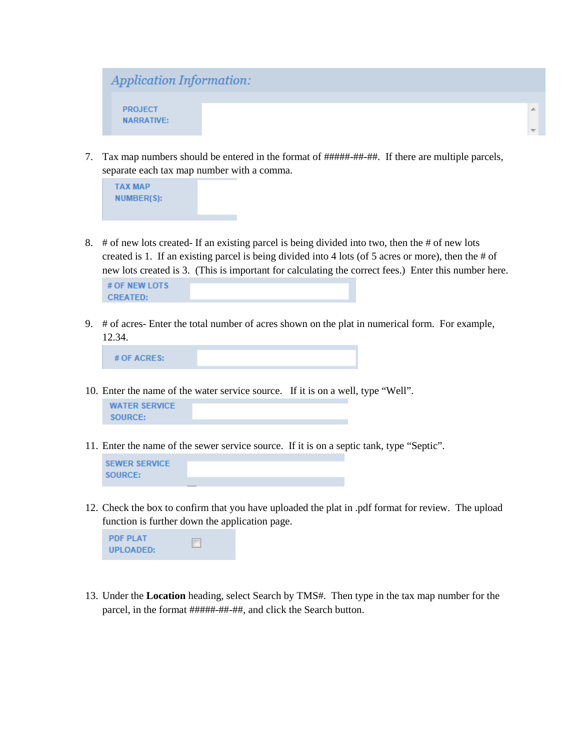

7. Tax map numbers should be entered in the format of #####-##-##. If there are multiple parcels, separate each tax map number with a comma.



8. # of new lots created- If an existing parcel is being divided into two, then the # of new lots created is 1. If an existing parcel is being divided into 4 lots (of 5 acres or more), then the # of new lots created is 3. (This is important for calculating the correct fees.) Enter this number here.



9. # of acres- Enter the total number of acres shown on the plat in numerical form. For example, 12.34.

| $#$ OF ACRES: |  |  |
|---------------|--|--|
|               |  |  |

10. Enter the name of the water service source. If it is on a well, type "Well".

```
WATER SERVICE
SOURCE:
```
11. Enter the name of the sewer service source. If it is on a septic tank, type "Septic".



12. Check the box to confirm that you have uploaded the plat in .pdf format for review. The upload function is further down the application page.



13. Under the **Location** heading, select Search by TMS#. Then type in the tax map number for the parcel, in the format #####-##-##, and click the Search button.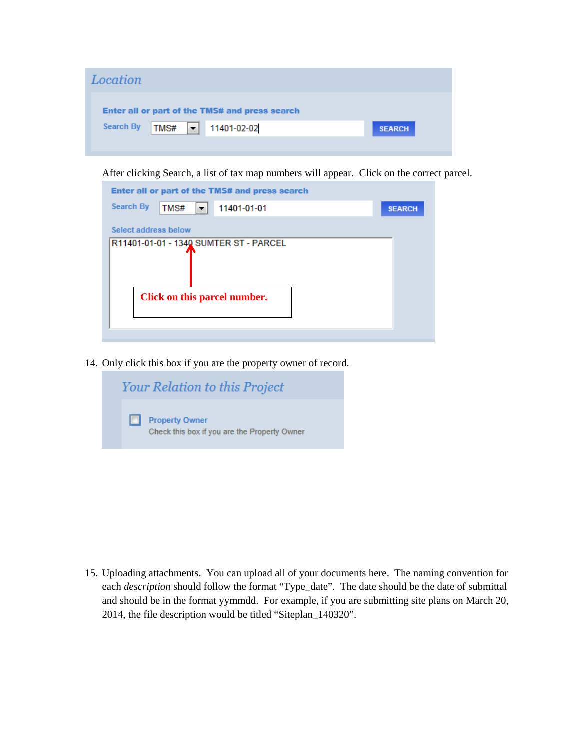| Location                                       |               |
|------------------------------------------------|---------------|
| Enter all or part of the TMS# and press search |               |
| Search By 7MS#   11401-02-02                   | <b>SEARCH</b> |
|                                                |               |

After clicking Search, a list of tax map numbers will appear. Click on the correct parcel.

| Enter all or part of the TMS# and press search |               |
|------------------------------------------------|---------------|
| <b>Search By</b><br>TMS#<br>11401-01-01<br>▼   | <b>SEARCH</b> |
| Select address below                           |               |
| R11401-01-01 - 1340 SUMTER ST - PARCEL         |               |
|                                                |               |
|                                                |               |
|                                                |               |
| Click on this parcel number.                   |               |
|                                                |               |
|                                                |               |

14. Only click this box if you are the property owner of record.

| <b>Your Relation to this Project</b>                                  |  |
|-----------------------------------------------------------------------|--|
| <b>Property Owner</b><br>Check this box if you are the Property Owner |  |

15. Uploading attachments. You can upload all of your documents here. The naming convention for each *description* should follow the format "Type\_date". The date should be the date of submittal and should be in the format yymmdd. For example, if you are submitting site plans on March 20, 2014, the file description would be titled "Siteplan\_140320".